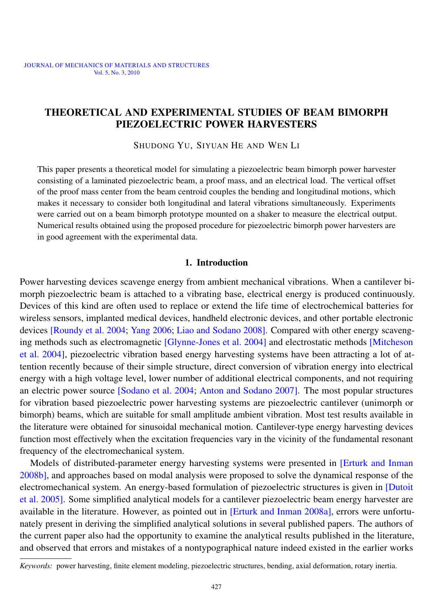## THEORETICAL AND EXPERIMENTAL STUDIES OF BEAM BIMORPH PIEZOELECTRIC POWER HARVESTERS

SHUDONG YU, SIYUAN HE AND WEN LI

This paper presents a theoretical model for simulating a piezoelectric beam bimorph power harvester consisting of a laminated piezoelectric beam, a proof mass, and an electrical load. The vertical offset of the proof mass center from the beam centroid couples the bending and longitudinal motions, which makes it necessary to consider both longitudinal and lateral vibrations simultaneously. Experiments were carried out on a beam bimorph prototype mounted on a shaker to measure the electrical output. Numerical results obtained using the proposed procedure for piezoelectric bimorph power harvesters are in good agreement with the experimental data.

### 1. Introduction

Power harvesting devices scavenge energy from ambient mechanical vibrations. When a cantilever bimorph piezoelectric beam is attached to a vibrating base, electrical energy is produced continuously. Devices of this kind are often used to replace or extend the life time of electrochemical batteries for wireless sensors, implanted medical devices, handheld electronic devices, and other portable electronic devices [\[Roundy et al. 2004;](#page-19-0) [Yang 2006;](#page-19-1) [Liao and Sodano 2008\]](#page-19-2). Compared with other energy scavenging methods such as electromagnetic [\[Glynne-Jones et al. 2004\]](#page-19-3) and electrostatic methods [\[Mitcheson](#page-19-4) [et al. 2004\]](#page-19-4), piezoelectric vibration based energy harvesting systems have been attracting a lot of attention recently because of their simple structure, direct conversion of vibration energy into electrical energy with a high voltage level, lower number of additional electrical components, and not requiring an electric power source [\[Sodano et al. 2004;](#page-19-5) [Anton and Sodano 2007\]](#page-19-6). The most popular structures for vibration based piezoelectric power harvesting systems are piezoelectric cantilever (unimorph or bimorph) beams, which are suitable for small amplitude ambient vibration. Most test results available in the literature were obtained for sinusoidal mechanical motion. Cantilever-type energy harvesting devices function most effectively when the excitation frequencies vary in the vicinity of the fundamental resonant frequency of the electromechanical system.

Models of distributed-parameter energy harvesting systems were presented in **Erturk** and Inman [2008b\]](#page-19-7), and approaches based on modal analysis were proposed to solve the dynamical response of the electromechanical system. An energy-based formulation of piezoelectric structures is given in [\[Dutoit](#page-19-8) [et al. 2005\]](#page-19-8). Some simplified analytical models for a cantilever piezoelectric beam energy harvester are available in the literature. However, as pointed out in [\[Erturk and Inman 2008a\]](#page-19-9), errors were unfortunately present in deriving the simplified analytical solutions in several published papers. The authors of the current paper also had the opportunity to examine the analytical results published in the literature, and observed that errors and mistakes of a nontypographical nature indeed existed in the earlier works

*Keywords:* power harvesting, finite element modeling, piezoelectric structures, bending, axial deformation, rotary inertia.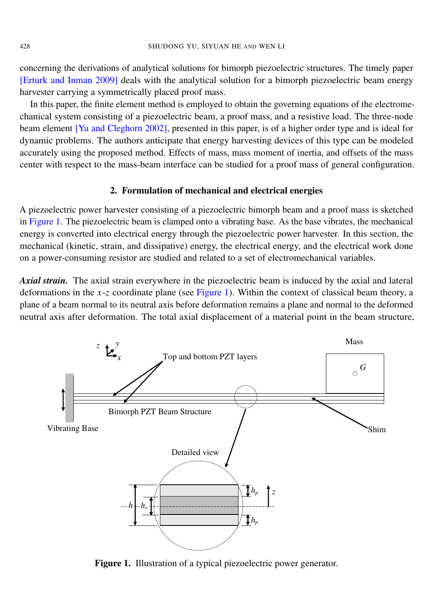concerning the derivations of analytical solutions for bimorph piezoelectric structures. The timely paper [\[Erturk and Inman 2009\]](#page-19-10) deals with the analytical solution for a bimorph piezoelectric beam energy harvester carrying a symmetrically placed proof mass.

In this paper, the finite element method is employed to obtain the governing equations of the electromechanical system consisting of a piezoelectric beam, a proof mass, and a resistive load. The three-node beam element [\[Yu and Cleghorn 2002\]](#page-19-11), presented in this paper, is of a higher order type and is ideal for dynamic problems. The authors anticipate that energy harvesting devices of this type can be modeled accurately using the proposed method. Effects of mass, mass moment of inertia, and offsets of the mass center with respect to the mass-beam interface can be studied for a proof mass of general configuration.

#### 2. Formulation of mechanical and electrical energies

A piezoelectric power harvester consisting of a piezoelectric bimorph beam and a proof mass is sketched in [Figure 1.](#page-2-0) The piezoelectric beam is clamped onto a vibrating base. As the base vibrates, the mechanical energy is converted into electrical energy through the piezoelectric power harvester. In this section, the mechanical (kinetic, strain, and dissipative) energy, the electrical energy, and the electrical work done on a power-consuming resistor are studied and related to a set of electromechanical variables.

*Axial strain.* The axial strain everywhere in the piezoelectric beam is induced by the axial and lateral deformations in the *x*-*z* coordinate plane (see [Figure 1\)](#page-2-0). Within the context of classical beam theory, a plane of a beam normal to its neutral axis before deformation remains a plane and normal to the deformed neutral axis after deformation. The total axial displacement of a material point in the beam structure,

<span id="page-2-0"></span>

Figure 1. Illustration of a typical piezoelectric power generator.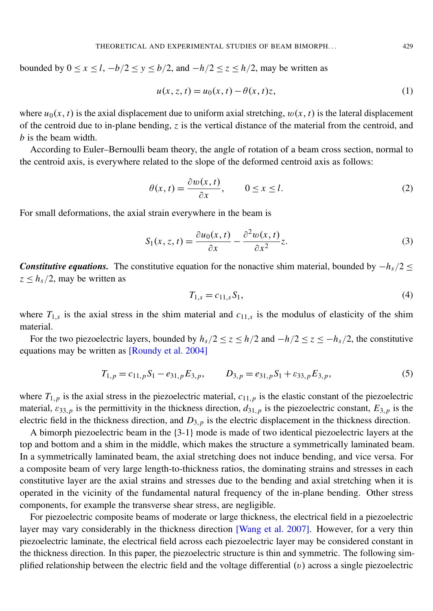bounded by  $0 \le x \le l$ ,  $-b/2 \le y \le b/2$ , and  $-h/2 \le z \le h/2$ , may be written as

$$
u(x, z, t) = u_0(x, t) - \theta(x, t)z,
$$
\n(1)

where  $u_0(x, t)$  is the axial displacement due to uniform axial stretching,  $w(x, t)$  is the lateral displacement of the centroid due to in-plane bending, *z* is the vertical distance of the material from the centroid, and *b* is the beam width.

According to Euler–Bernoulli beam theory, the angle of rotation of a beam cross section, normal to the centroid axis, is everywhere related to the slope of the deformed centroid axis as follows:

$$
\theta(x,t) = \frac{\partial w(x,t)}{\partial x}, \qquad 0 \le x \le l. \tag{2}
$$

For small deformations, the axial strain everywhere in the beam is

$$
S_1(x, z, t) = \frac{\partial u_0(x, t)}{\partial x} - \frac{\partial^2 w(x, t)}{\partial x^2} z.
$$
 (3)

*Constitutive equations.* The constitutive equation for the nonactive shim material, bounded by  $-h_s/2 \leq$  $z < h_s/2$ , may be written as

<span id="page-3-0"></span>
$$
T_{1,s} = c_{11,s} S_1,\tag{4}
$$

where  $T_{1,s}$  is the axial stress in the shim material and  $c_{11,s}$  is the modulus of elasticity of the shim material.

For the two piezoelectric layers, bounded by  $h_s/2 \le z \le h/2$  and  $-h/2 \le z \le -h_s/2$ , the constitutive equations may be written as [\[Roundy et al. 2004\]](#page-19-0)

$$
T_{1,p} = c_{11,p} S_1 - e_{31,p} E_{3,p}, \qquad D_{3,p} = e_{31,p} S_1 + \varepsilon_{33,p} E_{3,p}, \qquad (5)
$$

where  $T_{1,p}$  is the axial stress in the piezoelectric material,  $c_{11,p}$  is the elastic constant of the piezoelectric material,  $\varepsilon_{33,p}$  is the permittivity in the thickness direction,  $d_{31,p}$  is the piezoelectric constant,  $E_{3,p}$  is the electric field in the thickness direction, and *D*3,*<sup>p</sup>* is the electric displacement in the thickness direction.

A bimorph piezoelectric beam in the {3-1} mode is made of two identical piezoelectric layers at the top and bottom and a shim in the middle, which makes the structure a symmetrically laminated beam. In a symmetrically laminated beam, the axial stretching does not induce bending, and vice versa. For a composite beam of very large length-to-thickness ratios, the dominating strains and stresses in each constitutive layer are the axial strains and stresses due to the bending and axial stretching when it is operated in the vicinity of the fundamental natural frequency of the in-plane bending. Other stress components, for example the transverse shear stress, are negligible.

For piezoelectric composite beams of moderate or large thickness, the electrical field in a piezoelectric layer may vary considerably in the thickness direction [\[Wang et al. 2007\]](#page-19-12). However, for a very thin piezoelectric laminate, the electrical field across each piezoelectric layer may be considered constant in the thickness direction. In this paper, the piezoelectric structure is thin and symmetric. The following simplified relationship between the electric field and the voltage differential  $(v)$  across a single piezoelectric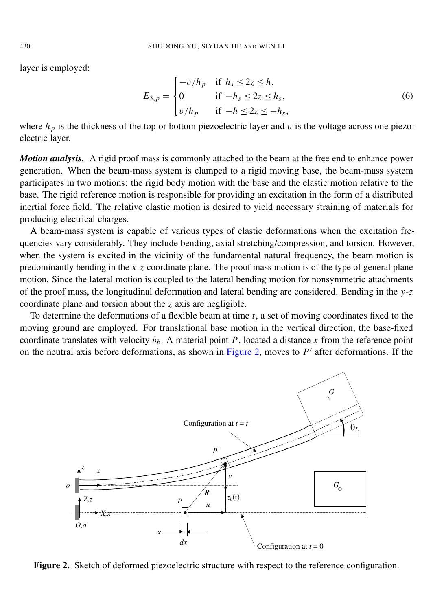layer is employed:

$$
E_{3,p} = \begin{cases} -\frac{b}{h_p} & \text{if } h_s \leq 2z \leq h, \\ 0 & \text{if } -h_s \leq 2z \leq h_s, \\ \frac{b}{h_p} & \text{if } -h \leq 2z \leq -h_s, \end{cases} \tag{6}
$$

where  $h_p$  is the thickness of the top or bottom piezoelectric layer and v is the voltage across one piezoelectric layer.

*Motion analysis.* A rigid proof mass is commonly attached to the beam at the free end to enhance power generation. When the beam-mass system is clamped to a rigid moving base, the beam-mass system participates in two motions: the rigid body motion with the base and the elastic motion relative to the base. The rigid reference motion is responsible for providing an excitation in the form of a distributed inertial force field. The relative elastic motion is desired to yield necessary straining of materials for producing electrical charges.

A beam-mass system is capable of various types of elastic deformations when the excitation frequencies vary considerably. They include bending, axial stretching/compression, and torsion. However, mertial force field. The felative effection is desired to yield fiecessary straining of materials for<br>producing electrical charges.<br>A beam-mass system is capable of various types of elastic deformations when the excitation predominantly bending in the  $x-z$  coordinate plane. The proof mass motion is of the type of general plane motion. Since the lateral motion is coupled to the lateral bending motion for nonsymmetric attachments of the proof mass, the longitudinal deformation and lateral bending are considered. Bending in the y-z coordinate plane and torsion about the  $z$  axis are negligible. xxxxxxxxxxxxxxxxxxxxxxxxxxxxxxxxxxxxxxxxxxxxxxxxxxxxxxxxxxxxxxxxxxxxxxxxxxxxxxxxxxxxxxxxxxxxxxx xxxxxxxxxxxxxxxxxxxxxxxxxxxxxxxxxxxxxxxxxxxxxxxxxxxxxxxxxxxxxxxxxxxxxxxxxxxxxxxxxxxxxxxxxxxxxxx

To determine the deformations of a flexible beam at time *t*, a set of moving coordinates fixed to the moving ground are employed. For translational base motion in the vertical direction, the base-fixed coordinate translates with velocity  $\dot{v}_b$ . A material point *P*, located a distance *x* from the reference point on the neutral axis before deformations, as shown in [Figure 2,](#page-4-0) moves to  $P'$  after deformations. If the

<span id="page-4-0"></span>

Figure 2. Sketch of deformed piezoelectric structure with respect to the reference configuration.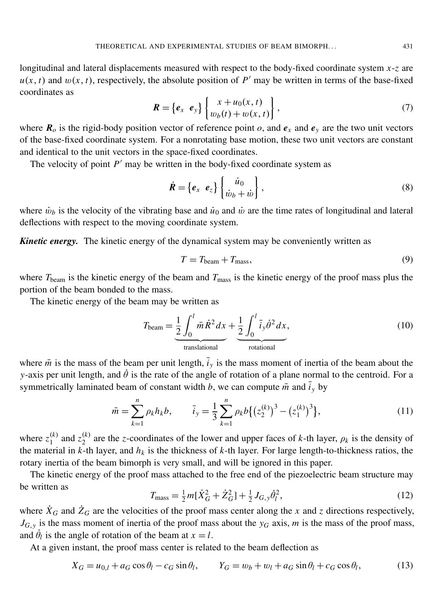longitudinal and lateral displacements measured with respect to the body-fixed coordinate system *x*-*z* are  $u(x, t)$  and  $w(x, t)$ , respectively, the absolute position of *P*<sup> $\prime$ </sup> may be written in terms of the base-fixed coordinates as

$$
\boldsymbol{R} = \left\{ \boldsymbol{e}_x \ \boldsymbol{e}_y \right\} \begin{Bmatrix} x + u_0(x, t) \\ w_b(t) + w(x, t) \end{Bmatrix}, \tag{7}
$$

where  $\mathbf{R}_{o}$  is the rigid-body position vector of reference point *o*, and  $\mathbf{e}_{x}$  and  $\mathbf{e}_{y}$  are the two unit vectors of the base-fixed coordinate system. For a nonrotating base motion, these two unit vectors are constant and identical to the unit vectors in the space-fixed coordinates.

The velocity of point  $P'$  may be written in the body-fixed coordinate system as

$$
\dot{\mathbf{R}} = \left\{ \boldsymbol{e}_x \ \boldsymbol{e}_z \right\} \left\{ \begin{matrix} \dot{u}_0 \\ \dot{w}_b + \dot{w} \end{matrix} \right\},\tag{8}
$$

where  $\dot{w}_b$  is the velocity of the vibrating base and  $\dot{u}_0$  and  $\dot{w}$  are the time rates of longitudinal and lateral deflections with respect to the moving coordinate system.

*Kinetic energy.* The kinetic energy of the dynamical system may be conveniently written as

$$
T = T_{\text{beam}} + T_{\text{mass}},\tag{9}
$$

where *T*beam is the kinetic energy of the beam and *T*mass is the kinetic energy of the proof mass plus the portion of the beam bonded to the mass.

The kinetic energy of the beam may be written as

$$
T_{\text{beam}} = \underbrace{\frac{1}{2} \int_0^l \bar{m} \dot{R}^2 dx}_{\text{translation}} + \underbrace{\frac{1}{2} \int_0^l \bar{i}_y \dot{\theta}^2 dx}_{\text{rotational}},
$$
\n(10)

where  $\bar{m}$  is the mass of the beam per unit length,  $\bar{i}_y$  is the mass moment of inertia of the beam about the *y*-axis per unit length, and  $\dot{\theta}$  is the rate of the angle of rotation of a plane normal to the centroid. For a symmetrically laminated beam of constant width *b*, we can compute  $\bar{m}$  and  $\bar{i}_y$  by

$$
\bar{m} = \sum_{k=1}^{n} \rho_k h_k b, \qquad \bar{i}_y = \frac{1}{3} \sum_{k=1}^{n} \rho_k b \{ (z_2^{(k)})^3 - (z_1^{(k)})^3 \}, \tag{11}
$$

where  $z_1^{(k)}$  $\binom{k}{1}$  and  $z_2^{(k)}$  $\alpha$ <sup>(k)</sup>) are the *z*-coordinates of the lower and upper faces of *k*-th layer,  $\rho_k$  is the density of the material in  $k$ -th layer, and  $h_k$  is the thickness of  $k$ -th layer. For large length-to-thickness ratios, the rotary inertia of the beam bimorph is very small, and will be ignored in this paper.

The kinetic energy of the proof mass attached to the free end of the piezoelectric beam structure may be written as

$$
T_{\text{mass}} = \frac{1}{2}m[\dot{X}_G^2 + \dot{Z}_G^2] + \frac{1}{2}J_{G,y}\dot{\theta}_l^2,
$$
\n(12)

where  $\dot{X}_G$  and  $\dot{Z}_G$  are the velocities of the proof mass center along the *x* and *z* directions respectively,  $J_{G, y}$  is the mass moment of inertia of the proof mass about the  $y_G$  axis, *m* is the mass of the proof mass, and  $\dot{\theta}_l$  is the angle of rotation of the beam at  $x = l$ .

At a given instant, the proof mass center is related to the beam deflection as

$$
X_G = u_{0,l} + a_G \cos \theta_l - c_G \sin \theta_l, \qquad Y_G = w_b + w_l + a_G \sin \theta_l + c_G \cos \theta_l,
$$
 (13)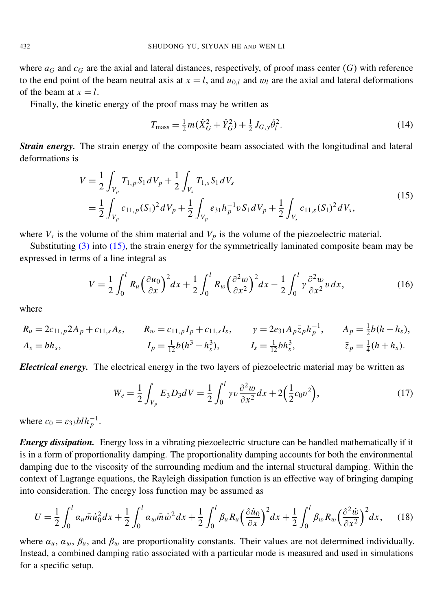where  $a_G$  and  $c_G$  are the axial and lateral distances, respectively, of proof mass center  $(G)$  with reference to the end point of the beam neutral axis at  $x = l$ , and  $u_{0,l}$  and  $w_l$  are the axial and lateral deformations of the beam at  $x = l$ .

Finally, the kinetic energy of the proof mass may be written as

$$
T_{\text{mass}} = \frac{1}{2}m(\dot{X}_G^2 + \dot{Y}_G^2) + \frac{1}{2}J_{G,y}\dot{\theta}_l^2.
$$
 (14)

*Strain energy.* The strain energy of the composite beam associated with the longitudinal and lateral deformations is

<span id="page-6-0"></span>
$$
V = \frac{1}{2} \int_{V_p} T_{1,p} S_1 dV_p + \frac{1}{2} \int_{V_s} T_{1,s} S_1 dV_s
$$
  
= 
$$
\frac{1}{2} \int_{V_p} c_{11,p} (S_1)^2 dV_p + \frac{1}{2} \int_{V_p} e_{31} h_p^{-1} v S_1 dV_p + \frac{1}{2} \int_{V_s} c_{11,s} (S_1)^2 dV_s,
$$
 (15)

where  $V_s$  is the volume of the shim material and  $V_p$  is the volume of the piezoelectric material.

Substituting  $(3)$  into  $(15)$ , the strain energy for the symmetrically laminated composite beam may be expressed in terms of a line integral as

$$
V = \frac{1}{2} \int_0^l R_u \left(\frac{\partial u_0}{\partial x}\right)^2 dx + \frac{1}{2} \int_0^l R_w \left(\frac{\partial^2 w}{\partial x^2}\right)^2 dx - \frac{1}{2} \int_0^l \gamma \frac{\partial^2 w}{\partial x^2} v \, dx,\tag{16}
$$

where

$$
R_u = 2c_{11,p} 2A_p + c_{11,s} A_s, \t R_w = c_{11,p} I_p + c_{11,s} I_s, \t \gamma = 2e_{31} A_p \bar{z}_p h_p^{-1}, \t A_p = \frac{1}{2} b(h - h_s),
$$
  
\n
$$
A_s = bh_s, \t I_p = \frac{1}{12} b(h^3 - h_s^3), \t I_s = \frac{1}{12} bh_s^3, \t \bar{z}_p = \frac{1}{4} (h + h_s).
$$

*Electrical energy.* The electrical energy in the two layers of piezoelectric material may be written as

$$
W_e = \frac{1}{2} \int_{V_p} E_3 D_3 dV = \frac{1}{2} \int_0^l \gamma v \frac{\partial^2 w}{\partial x^2} dx + 2 \left( \frac{1}{2} c_0 v^2 \right),\tag{17}
$$

where  $c_0 = \varepsilon_{33} b l h_p^{-1}$ .

*Energy dissipation.* Energy loss in a vibrating piezoelectric structure can be handled mathematically if it is in a form of proportionality damping. The proportionality damping accounts for both the environmental damping due to the viscosity of the surrounding medium and the internal structural damping. Within the context of Lagrange equations, the Rayleigh dissipation function is an effective way of bringing damping into consideration. The energy loss function may be assumed as

$$
U = \frac{1}{2} \int_0^l \alpha_u \bar{m} \dot{u}_0^2 dx + \frac{1}{2} \int_0^l \alpha_w \bar{m} \dot{w}^2 dx + \frac{1}{2} \int_0^l \beta_u R_u \Big(\frac{\partial \dot{u}_0}{\partial x}\Big)^2 dx + \frac{1}{2} \int_0^l \beta_w R_w \Big(\frac{\partial^2 \dot{w}}{\partial x^2}\Big)^2 dx,
$$
 (18)

where  $a_u$ ,  $a_w$ ,  $\beta_u$ , and  $\beta_w$  are proportionality constants. Their values are not determined individually. Instead, a combined damping ratio associated with a particular mode is measured and used in simulations for a specific setup.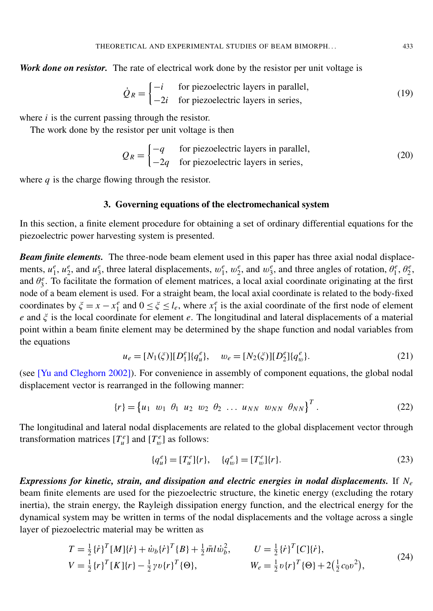*Work done on resistor.* The rate of electrical work done by the resistor per unit voltage is

$$
\dot{Q}_R = \begin{cases}\n-i & \text{for piezoelectric layers in parallel,} \\
-2i & \text{for piezoelectric layers in series,}\n\end{cases}
$$
\n(19)

where *i* is the current passing through the resistor.

The work done by the resistor per unit voltage is then

<span id="page-7-0"></span>
$$
Q_R = \begin{cases} -q & \text{for piezoelectric layers in parallel,} \\ -2q & \text{for piezoelectric layers in series,} \end{cases}
$$
 (20)

where *q* is the charge flowing through the resistor.

#### 3. Governing equations of the electromechanical system

In this section, a finite element procedure for obtaining a set of ordinary differential equations for the piezoelectric power harvesting system is presented.

*Beam finite elements.* The three-node beam element used in this paper has three axial nodal displacements,  $u_1^e$ ,  $u_2^e$ , and  $u_3^e$ , three lateral displacements,  $w_1^e$ ,  $w_2^e$ , and  $w_3^e$ , and three angles of rotation,  $\theta_1^e$ ,  $\theta_2^e$ , and  $\theta_3^e$ . To facilitate the formation of element matrices, a local axial coordinate originating at the first node of a beam element is used. For a straight beam, the local axial coordinate is related to the body-fixed coordinates by  $\xi = x - x_1^e$  and  $0 \le \xi \le l_e$ , where  $x_1^e$  is the axial coordinate of the first node of element *e* and ξ is the local coordinate for element *e*. The longitudinal and lateral displacements of a material point within a beam finite element may be determined by the shape function and nodal variables from the equations

$$
u_e = [N_1(\xi)][D_1^e][q_u^e], \quad w_e = [N_2(\xi)][D_2^e][q_w^e]. \tag{21}
$$

(see [\[Yu and Cleghorn 2002\]](#page-19-11)). For convenience in assembly of component equations, the global nodal displacement vector is rearranged in the following manner:

$$
\{r\} = \begin{bmatrix} u_1 & w_1 & \theta_1 & u_2 & w_2 & \theta_2 & \dots & u_{NN} & w_{NN} & \theta_{NN} \end{bmatrix}^T.
$$
 (22)

The longitudinal and lateral nodal displacements are related to the global displacement vector through transformation matrices  $[T_u^e]$  and  $[T_w^e]$  as follows:

$$
\{q_u^e\} = [T_u^e]\{r\}, \quad \{q_w^e\} = [T_w^e]\{r\}.
$$
 (23)

*Expressions for kinetic, strain, and dissipation and electric energies in nodal displacements.* If *N<sup>e</sup>* beam finite elements are used for the piezoelectric structure, the kinetic energy (excluding the rotary inertia), the strain energy, the Rayleigh dissipation energy function, and the electrical energy for the dynamical system may be written in terms of the nodal displacements and the voltage across a single layer of piezoelectric material may be written as

$$
T = \frac{1}{2} \{ \dot{r} \}^{T} [M] \{ \dot{r} \} + \dot{w}_{b} \{ \dot{r} \}^{T} \{ B \} + \frac{1}{2} \bar{m} l \dot{w}_{b}^{2}, \qquad U = \frac{1}{2} \{ \dot{r} \}^{T} [C] \{ \dot{r} \},
$$
  
\n
$$
V = \frac{1}{2} \{ r \}^{T} [K] \{ r \} - \frac{1}{2} \gamma v \{ r \}^{T} \{ \Theta \}, \qquad W_{e} = \frac{1}{2} v \{ r \}^{T} \{ \Theta \} + 2 \left( \frac{1}{2} c_{0} v^{2} \right),
$$
\n(24)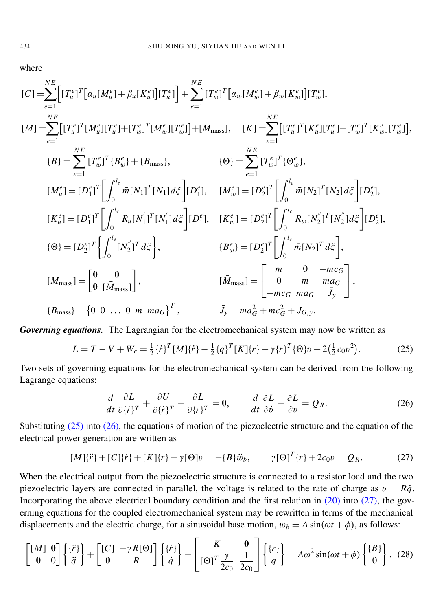where

$$
[C] = \sum_{e=1}^{NE} \left[ [T_{u}^{e}]^{T} [\alpha_{u} [M_{u}^{e}] + \beta_{u} [K_{u}^{e}] ] [T_{u}^{e}] \right] + \sum_{e=1}^{NE} [T_{w}^{e}]^{T} [\alpha_{w} [M_{w}^{e}] + \beta_{w} [K_{w}^{e}] ] [T_{w}^{e}],
$$
  
\n
$$
[M] = \sum_{e=1}^{NE} [T_{u}^{e}]^{T} [M_{u}^{e}] [T_{u}^{e}] + [T_{w}^{e}]^{T} [M_{w}^{e}] [T_{w}^{e}] + [M_{\text{mass}}], \quad [K] = \sum_{e=1}^{NE} [T_{u}^{e}]^{T} [K_{u}^{e}] [T_{u}^{e}] + [T_{w}^{e}]^{T} [K_{w}^{e}] [T_{w}^{e}]],
$$
  
\n
$$
[B] = \sum_{e=1}^{NE} [T_{w}^{e}]^{T} [B_{w}^{e}] + \{B_{\text{mass}}\}, \quad \{ \Theta \} = \sum_{e=1}^{NE} [T_{w}^{e}]^{T} \{ \Theta_{w}^{e}\},
$$
  
\n
$$
[M_{u}^{e}] = [D_{1}^{e}]^{T} \left[ \int_{0}^{l_{e}} \bar{m} [N_{1}]^{T} [N_{1}] d\xi \right] [D_{1}^{e}], \quad [M_{w}^{e}] = [D_{2}^{e}]^{T} \left[ \int_{0}^{l_{e}} \bar{m} [N_{2}]^{T} [N_{2}] d\xi \right] [D_{2}^{e}],
$$
  
\n
$$
[K_{u}^{e}] = [D_{1}^{e}]^{T} \left[ \int_{0}^{l_{e}} R_{u} [N_{1}^{e}]^{T} [N_{1}^{e}] d\xi \right], \quad \{ K_{w}^{e} \} = [D_{2}^{e}]^{T} \left[ \int_{0}^{l_{e}} R_{w} [N_{2}^{e}]^{T} [N_{2}^{e}] d\xi \right] [D_{2}^{e}],
$$
  
\n
$$
\{ \Theta \} = [D_{2}^{e}]^{T} \left\{ \int_{0}^{l_{e}} [N_{2}^{e}]^{T} d\xi \right\}, \quad \{ B_{w}^{e} \} = [D_{2}
$$

*Governing equations.* The Lagrangian for the electromechanical system may now be written as

$$
L = T - V + W_e = \frac{1}{2} \{ \dot{r} \}^T [M] \{ \dot{r} \} - \frac{1}{2} \{ q \}^T [K] \{ r \} + \gamma \{ r \}^T \{ \Theta \} v + 2 \left( \frac{1}{2} c_0 v^2 \right). \tag{25}
$$

Two sets of governing equations for the electromechanical system can be derived from the following Lagrange equations:

<span id="page-8-3"></span><span id="page-8-2"></span><span id="page-8-1"></span><span id="page-8-0"></span>
$$
\frac{d}{dt}\frac{\partial L}{\partial \{\dot{r}\}^T} + \frac{\partial U}{\partial \{\dot{r}\}^T} - \frac{\partial L}{\partial \{r\}^T} = \mathbf{0}, \qquad \frac{d}{dt}\frac{\partial L}{\partial \dot{v}} - \frac{\partial L}{\partial v} = Q_R.
$$
 (26)

Substituting [\(25\)](#page-8-0) into [\(26\),](#page-8-1) the equations of motion of the piezoelectric structure and the equation of the electrical power generation are written as

$$
[M]\{\ddot{r}\} + [C]\{\dot{r}\} + [K]\{r\} - \gamma[\Theta]v = -\{B\}\ddot{\omega}_b, \qquad \gamma[\Theta]^T\{r\} + 2c_0v = Q_R. \tag{27}
$$

When the electrical output from the piezoelectric structure is connected to a resistor load and the two piezoelectric layers are connected in parallel, the voltage is related to the rate of charge as  $v = R\dot{q}$ . Incorporating the above electrical boundary condition and the first relation in  $(20)$  into  $(27)$ , the governing equations for the coupled electromechanical system may be rewritten in terms of the mechanical displacements and the electric charge, for a sinusoidal base motion,  $w_b = A \sin(\omega t + \phi)$ , as follows:

$$
\begin{bmatrix}\n[M] & \mathbf{0} \\
\mathbf{0} & 0\n\end{bmatrix}\n\begin{bmatrix}\n\{\ddot{r}\} \\
\ddot{q}\n\end{bmatrix} + \begin{bmatrix}\n[C] & -\gamma R[\Theta] \\
\mathbf{0} & R\n\end{bmatrix}\n\begin{bmatrix}\n\{\dot{r}\} \\
\dot{q}\n\end{bmatrix} + \begin{bmatrix}\nK & \mathbf{0} \\
[\Theta]^T \frac{\gamma}{2c_0} & \frac{1}{2c_0}\n\end{bmatrix}\n\begin{bmatrix}\n\{r\} \\
q\n\end{bmatrix} = A\omega^2 \sin(\omega t + \phi) \begin{bmatrix}\n\{B\} \\
0\n\end{bmatrix}.
$$
\n(28)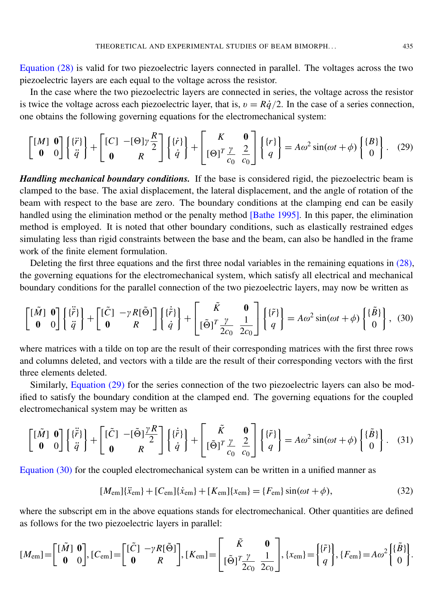[Equation](#page-8-3) (28) is valid for two piezoelectric layers connected in parallel. The voltages across the two piezoelectric layers are each equal to the voltage across the resistor.

In the case where the two piezoelectric layers are connected in series, the voltage across the resistor is twice the voltage across each piezoelectric layer, that is,  $v = R\dot{q}/2$ . In the case of a series connection, one obtains the following governing equations for the electromechanical system:

<span id="page-9-0"></span>
$$
\begin{bmatrix}\n[M] & \mathbf{0} \\
\mathbf{0} & 0\n\end{bmatrix}\n\begin{bmatrix}\n\{\ddot{r}\} \\
\ddot{q}\n\end{bmatrix} + \begin{bmatrix}\n[C] & -[\Theta]\gamma \frac{R}{2} \\
\mathbf{0} & R\n\end{bmatrix}\n\begin{bmatrix}\n\{\dot{r}\} \\
\dot{q}\n\end{bmatrix} + \begin{bmatrix}\nK & \mathbf{0} \\
[\Theta]^T \frac{\gamma}{c_0} & \frac{2}{c_0}\n\end{bmatrix}\n\begin{bmatrix}\n\{r\} \\
q\n\end{bmatrix} = A\omega^2 \sin(\omega t + \phi) \begin{bmatrix}\n\{B\} \\
0\n\end{bmatrix}.
$$
\n(29)

*Handling mechanical boundary conditions.* If the base is considered rigid, the piezoelectric beam is clamped to the base. The axial displacement, the lateral displacement, and the angle of rotation of the beam with respect to the base are zero. The boundary conditions at the clamping end can be easily handled using the elimination method or the penalty method [\[Bathe 1995\]](#page-19-13). In this paper, the elimination method is employed. It is noted that other boundary conditions, such as elastically restrained edges simulating less than rigid constraints between the base and the beam, can also be handled in the frame work of the finite element formulation.

Deleting the first three equations and the first three nodal variables in the remaining equations in [\(28\),](#page-8-3) the governing equations for the electromechanical system, which satisfy all electrical and mechanical boundary conditions for the parallel connection of the two piezoelectric layers, may now be written as

$$
\begin{bmatrix} [\tilde{M}] & \mathbf{0} \\ \mathbf{0} & 0 \end{bmatrix} \begin{bmatrix} \{\tilde{r}\} \\ \tilde{q} \end{bmatrix} + \begin{bmatrix} [\tilde{C}] & -\gamma R[\tilde{\Theta}] \\ \mathbf{0} & R \end{bmatrix} \begin{bmatrix} \{\tilde{r}\} \\ \dot{q} \end{bmatrix} + \begin{bmatrix} \tilde{K} & \mathbf{0} \\ [\tilde{\Theta}]^T \frac{\gamma}{2c_0} & \frac{1}{2c_0} \end{bmatrix} \begin{bmatrix} \{\tilde{r}\} \\ q \end{bmatrix} = A\omega^2 \sin(\omega t + \phi) \begin{bmatrix} \{\tilde{B}\} \\ 0 \end{bmatrix}, \tag{30}
$$

where matrices with a tilde on top are the result of their corresponding matrices with the first three rows and columns deleted, and vectors with a tilde are the result of their corresponding vectors with the first three elements deleted.

Similarly, [Equation](#page-9-0) (29) for the series connection of the two piezoelectric layers can also be modified to satisfy the boundary condition at the clamped end. The governing equations for the coupled electromechanical system may be written as

$$
\begin{bmatrix} [\tilde{M}] & \mathbf{0} \\ \mathbf{0} & 0 \end{bmatrix} \begin{bmatrix} \{\tilde{r}\} \\ \tilde{q} \end{bmatrix} + \begin{bmatrix} [\tilde{C}] & -[\tilde{\Theta}] \frac{\gamma R}{2} \\ \mathbf{0} & R \end{bmatrix} \begin{bmatrix} \{\tilde{r}\} \\ \tilde{q} \end{bmatrix} + \begin{bmatrix} \tilde{K} & \mathbf{0} \\ [\tilde{\Theta}]^T \frac{\gamma}{c_0} & \frac{2}{c_0} \end{bmatrix} \begin{bmatrix} \{\tilde{r}\} \\ q \end{bmatrix} = A\omega^2 \sin(\omega t + \phi) \begin{bmatrix} \{\tilde{B}\} \\ 0 \end{bmatrix}.
$$
 (31)

[Equation \(30\)](#page-9-1) for the coupled electromechanical system can be written in a unified manner as

<span id="page-9-2"></span><span id="page-9-1"></span>
$$
[M_{\rm em}]\{\ddot{x}_{\rm em}\} + [C_{\rm em}]\{\dot{x}_{\rm em}\} + [K_{\rm em}]\{x_{\rm em}\} = \{F_{\rm em}\}\sin(\omega t + \phi),\tag{32}
$$

where the subscript em in the above equations stands for electromechanical. Other quantities are defined as follows for the two piezoelectric layers in parallel:

$$
[M_{\rm em}] = \begin{bmatrix} [\tilde{M}] & \mathbf{0} \\ \mathbf{0} & 0 \end{bmatrix}, [C_{\rm em}] = \begin{bmatrix} [\tilde{C}] & -\gamma R[\tilde{\Theta}] \\ \mathbf{0} & R \end{bmatrix}, [K_{\rm em}] = \begin{bmatrix} \tilde{K} & \mathbf{0} \\ [\tilde{\Theta}]^T \frac{\gamma}{2c_0} & \frac{1}{2c_0} \end{bmatrix}, \{x_{\rm em}\} = \begin{bmatrix} {\{\tilde{r}\}} \\ q \end{bmatrix}, \{F_{\rm em}\} = A\omega^2 \begin{bmatrix} \{\tilde{B}\} \\ 0 \end{bmatrix}.
$$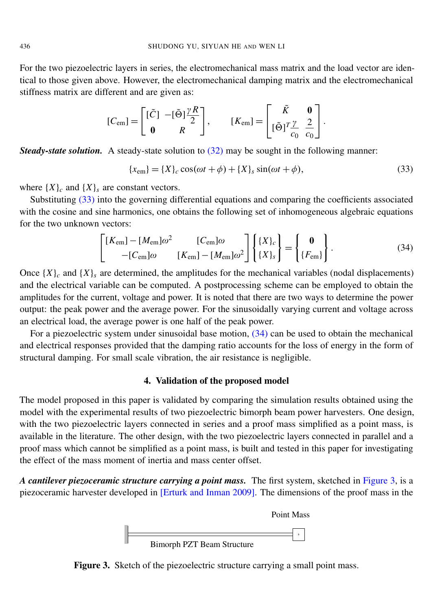For the two piezoelectric layers in series, the electromechanical mass matrix and the load vector are identical to those given above. However, the electromechanical damping matrix and the electromechanical stiffness matrix are different and are given as:

$$
[C_{\rm em}] = \begin{bmatrix} [\tilde{C}] & -[\tilde{\Theta}] \frac{\gamma R}{2} \\ \mathbf{0} & R \end{bmatrix}, \qquad [K_{\rm em}] = \begin{bmatrix} \tilde{K} & \mathbf{0} \\ [\tilde{\Theta}]^T \frac{\gamma}{c_0} & \frac{2}{c_0} \end{bmatrix}.
$$

**Steady-state solution.** A steady-state solution to [\(32\)](#page-9-2) may be sought in the following manner:

<span id="page-10-0"></span>
$$
\{x_{\rm em}\} = \{X\}_c \cos(\omega t + \phi) + \{X\}_s \sin(\omega t + \phi),\tag{33}
$$

where  $\{X\}_c$  and  $\{X\}_s$  are constant vectors.

Substituting [\(33\)](#page-10-0) into the governing differential equations and comparing the coefficients associated with the cosine and sine harmonics, one obtains the following set of inhomogeneous algebraic equations for the two unknown vectors:

<span id="page-10-1"></span>
$$
\begin{bmatrix} [K_{\rm em}] - [M_{\rm em}] \omega^2 & [C_{\rm em}] \omega \\ -[C_{\rm em}] \omega & [K_{\rm em}] - [M_{\rm em}] \omega^2 \end{bmatrix} \begin{Bmatrix} \{X\}_c \\ \{X\}_s \end{Bmatrix} = \begin{Bmatrix} \mathbf{0} \\ \{F_{\rm em}\} \end{Bmatrix}.
$$
 (34)

Once  ${X}$ <sup> $c$ </sup> and  ${X}$ <sup> $s$ </sup> are determined, the amplitudes for the mechanical variables (nodal displacements) and the electrical variable can be computed. A postprocessing scheme can be employed to obtain the amplitudes for the current, voltage and power. It is noted that there are two ways to determine the power output: the peak power and the average power. For the sinusoidally varying current and voltage across an electrical load, the average power is one half of the peak power.

For a piezoelectric system under sinusoidal base motion, [\(34\)](#page-10-1) can be used to obtain the mechanical and electrical responses provided that the damping ratio accounts for the loss of energy in the form of structural damping. For small scale vibration, the air resistance is negligible.

### 4. Validation of the proposed model

The model proposed in this paper is validated by comparing the simulation results obtained using the model with the experimental results of two piezoelectric bimorph beam power harvesters. One design, with the two piezoelectric layers connected in series and a proof mass simplified as a point mass, is available in the literature. The other design, with the two piezoelectric layers connected in parallel and a proof mass which cannot be simplified as a point mass, is built and tested in this paper for investigating the effect of the mass moment of inertia and mass center offset.

<span id="page-10-2"></span>*A cantilever piezoceramic structure carrying a point mass.* The first system, sketched in [Figure 3,](#page-10-2) is a piezoceramic harvester developed in [\[Erturk and Inman 2009\]](#page-19-10). The dimensions of the proof mass in the



Figure 3. Sketch of the piezoelectric structure carrying a small point mass.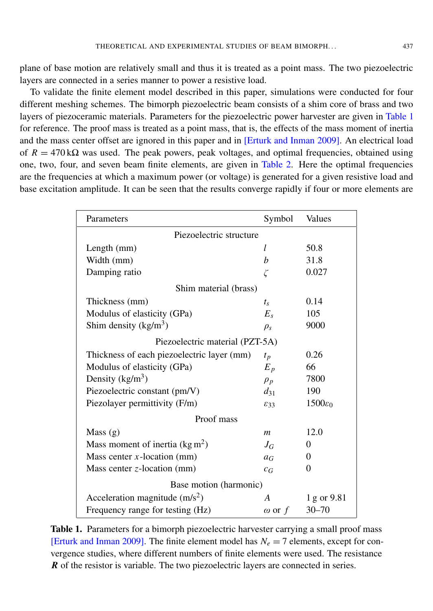plane of base motion are relatively small and thus it is treated as a point mass. The two piezoelectric layers are connected in a series manner to power a resistive load.

To validate the finite element model described in this paper, simulations were conducted for four different meshing schemes. The bimorph piezoelectric beam consists of a shim core of brass and two layers of piezoceramic materials. Parameters for the piezoelectric power harvester are given in [Table 1](#page-11-0) for reference. The proof mass is treated as a point mass, that is, the effects of the mass moment of inertia and the mass center offset are ignored in this paper and in [\[Erturk and Inman 2009\]](#page-19-10). An electrical load of  $R = 470 \text{ k}\Omega$  was used. The peak powers, peak voltages, and optimal frequencies, obtained using one, two, four, and seven beam finite elements, are given in [Table 2.](#page-12-0) Here the optimal frequencies are the frequencies at which a maximum power (or voltage) is generated for a given resistive load and base excitation amplitude. It can be seen that the results converge rapidly if four or more elements are

<span id="page-11-0"></span>

| Parameters                                 | Symbol          | Values              |  |
|--------------------------------------------|-----------------|---------------------|--|
| Piezoelectric structure                    |                 |                     |  |
| Length (mm)                                | l               | 50.8                |  |
| Width (mm)                                 | b               | 31.8                |  |
| Damping ratio                              | ζ               | 0.027               |  |
| Shim material (brass)                      |                 |                     |  |
| Thickness (mm)                             | $t_{\rm s}$     | 0.14                |  |
| Modulus of elasticity (GPa)                | $E_s$           | 105                 |  |
| Shim density $(kg/m^3)$                    | $\rho_s$        | 9000                |  |
| Piezoelectric material (PZT-5A)            |                 |                     |  |
| Thickness of each piezoelectric layer (mm) | $t_p$           | 0.26                |  |
| Modulus of elasticity (GPa)                | $E_p$           | 66                  |  |
| Density $(kg/m^3)$                         | $\rho_p$        | 7800                |  |
| Piezoelectric constant (pm/V)              | $d_{31}$        | 190                 |  |
| Piezolayer permittivity (F/m)              | $\mathcal{E}33$ | $1500\varepsilon_0$ |  |
| Proof mass                                 |                 |                     |  |
| Mass $(g)$                                 | $\mathfrak{m}$  | 12.0                |  |
| Mass moment of inertia $(\text{kg m}^2)$   | $J_G$           | 0                   |  |
| Mass center $x$ -location (mm)             | $a_G$           | 0                   |  |
| Mass center $z$ -location (mm)             | $c_G$           | 0                   |  |
| Base motion (harmonic)                     |                 |                     |  |
| Acceleration magnitude $(m/s2)$            | A               | 1 g or 9.81         |  |
| Frequency range for testing (Hz)           | $\omega$ or $f$ | $30 - 70$           |  |

Table 1. Parameters for a bimorph piezoelectric harvester carrying a small proof mass [\[Erturk and Inman 2009\]](#page-19-10). The finite element model has  $N_e = 7$  elements, except for convergence studies, where different numbers of finite elements were used. The resistance *R* of the resistor is variable. The two piezoelectric layers are connected in series.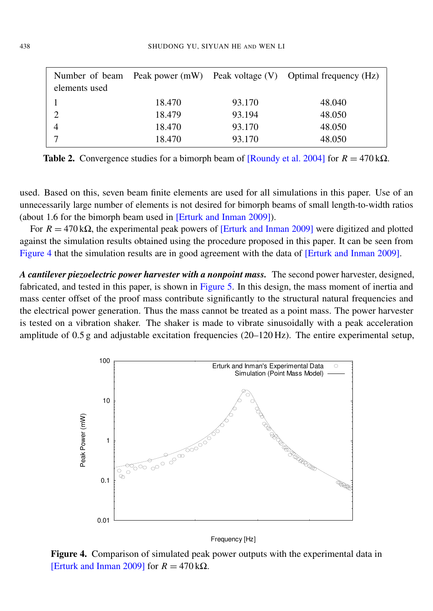<span id="page-12-0"></span>

| elements used |        |        | Number of beam Peak power (mW) Peak voltage (V) Optimal frequency (Hz) |
|---------------|--------|--------|------------------------------------------------------------------------|
|               | 18.470 | 93.170 | 48.040                                                                 |
|               | 18.479 | 93.194 | 48.050                                                                 |
|               | 18.470 | 93.170 | 48.050                                                                 |
|               | 18.470 | 93.170 | 48.050                                                                 |

**Table 2.** Convergence studies for a bimorph beam of [\[Roundy et al. 2004\]](#page-19-0) for  $R = 470 \text{ k}\Omega$ .

used. Based on this, seven beam finite elements are used for all simulations in this paper. Use of an unnecessarily large number of elements is not desired for bimorph beams of small length-to-width ratios (about 1.6 for the bimorph beam used in [\[Erturk and Inman 2009\]](#page-19-10)).

For  $R = 470 \text{ k}\Omega$ , the experimental peak powers of [\[Erturk and Inman 2009\]](#page-19-10) were digitized and plotted against the simulation results obtained using the procedure proposed in this paper. It can be seen from [Figure 4](#page-12-1) that the simulation results are in good agreement with the data of [\[Erturk and Inman 2009\]](#page-19-10).

A cantilever piezoelectric power harvester with a nonpoint mass. The second power harvester, designed, fabricated, and tested in this paper, is shown in [Figure 5.](#page-13-0) In this design, the mass moment of inertia and mass center offset of the proof mass contribute significantly to the structural natural frequencies and the electrical power generation. Thus the mass cannot be treated as a point mass. The power harvester is tested on a vibration shaker. The shaker is made to vibrate sinusoidally with a peak acceleration amplitude of 0.5 g and adjustable excitation frequencies (20–120 Hz). The entire experimental setup,

<span id="page-12-1"></span>

Frequency [Hz]

Figure 4. Comparison of simulated peak power outputs with the experimental data in [\[Erturk and Inman 2009\]](#page-19-10) for  $R = 470 \text{ k}\Omega$ .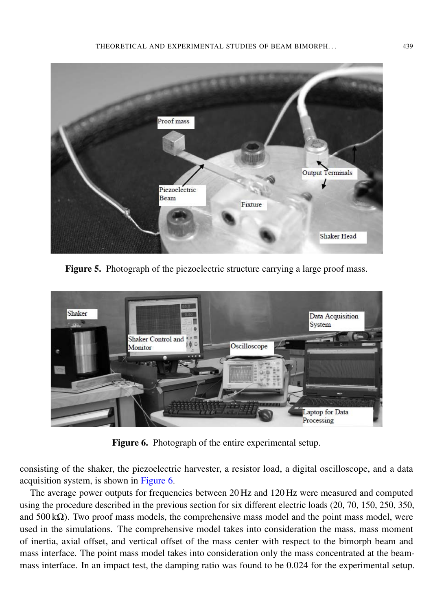<span id="page-13-0"></span>

Figure 5. Photograph of the piezoelectric structure carrying a large proof mass.

<span id="page-13-1"></span>

Figure 6. Photograph of the entire experimental setup.

consisting of the shaker, the piezoelectric harvester, a resistor load, a digital oscilloscope, and a data acquisition system, is shown in [Figure 6.](#page-13-1)

The average power outputs for frequencies between 20 Hz and 120 Hz were measured and computed using the procedure described in the previous section for six different electric loads (20, 70, 150, 250, 350, and 500 k $\Omega$ ). Two proof mass models, the comprehensive mass model and the point mass model, were used in the simulations. The comprehensive model takes into consideration the mass, mass moment of inertia, axial offset, and vertical offset of the mass center with respect to the bimorph beam and mass interface. The point mass model takes into consideration only the mass concentrated at the beammass interface. In an impact test, the damping ratio was found to be 0.024 for the experimental setup.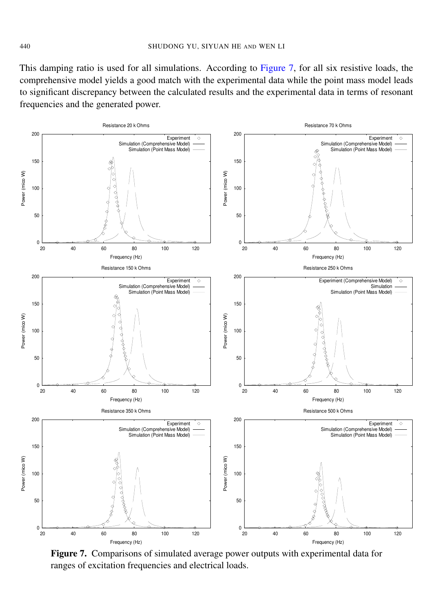This damping ratio is used for all simulations. According to [Figure 7,](#page-14-0) for all six resistive loads, the comprehensive model yields a good match with the experimental data while the point mass model leads to significant discrepancy between the calculated results and the experimental data in terms of resonant frequencies and the generated power.

<span id="page-14-0"></span>

Figure 7. Comparisons of simulated average power outputs with experimental data for ranges of excitation frequencies and electrical loads.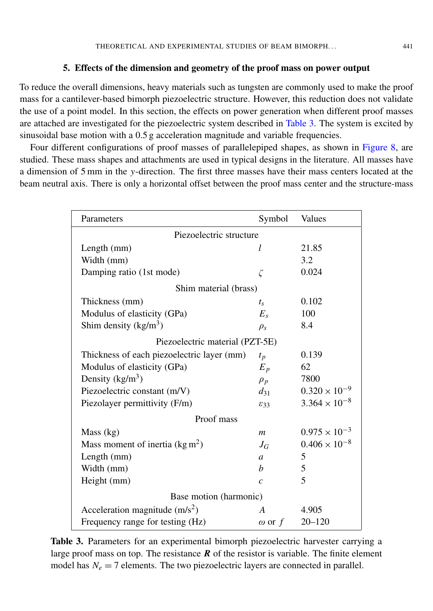#### 5. Effects of the dimension and geometry of the proof mass on power output

To reduce the overall dimensions, heavy materials such as tungsten are commonly used to make the proof mass for a cantilever-based bimorph piezoelectric structure. However, this reduction does not validate the use of a point model. In this section, the effects on power generation when different proof masses are attached are investigated for the piezoelectric system described in [Table 3.](#page-15-0) The system is excited by sinusoidal base motion with a 0.5 g acceleration magnitude and variable frequencies.

Four different configurations of proof masses of parallelepiped shapes, as shown in [Figure 8,](#page-16-0) are studied. These mass shapes and attachments are used in typical designs in the literature. All masses have a dimension of 5 mm in the *y*-direction. The first three masses have their mass centers located at the beam neutral axis. There is only a horizontal offset between the proof mass center and the structure-mass

<span id="page-15-0"></span>

| Parameters                                 | Symbol           | Values                 |  |
|--------------------------------------------|------------------|------------------------|--|
| Piezoelectric structure                    |                  |                        |  |
| Length (mm)                                | l                | 21.85                  |  |
| Width (mm)                                 |                  | 3.2                    |  |
| Damping ratio (1st mode)                   | $\zeta$          | 0.024                  |  |
| Shim material (brass)                      |                  |                        |  |
| Thickness (mm)                             | $t_{\rm s}$      | 0.102                  |  |
| Modulus of elasticity (GPa)                | $E_s$            | 100                    |  |
| Shim density $(kg/m^3)$                    | $\rho_{s}$       | 8.4                    |  |
| Piezoelectric material (PZT-5E)            |                  |                        |  |
| Thickness of each piezoelectric layer (mm) | $t_p$            | 0.139                  |  |
| Modulus of elasticity (GPa)                | $E_p$            | 62                     |  |
| Density $(kg/m^3)$                         | $\rho_p$         | 7800                   |  |
| Piezoelectric constant (m/V)               | $d_{31}$         | $0.320 \times 10^{-9}$ |  |
| Piezolayer permittivity (F/m)              | $\mathcal{E}33$  | $3.364 \times 10^{-8}$ |  |
| Proof mass                                 |                  |                        |  |
| Mass (kg)                                  | $\boldsymbol{m}$ | $0.975 \times 10^{-3}$ |  |
| Mass moment of inertia $(\text{kg m}^2)$   | $J_G$            | $0.406 \times 10^{-8}$ |  |
| Length (mm)                                | $\mathfrak{a}$   | 5                      |  |
| Width (mm)                                 | h                | 5                      |  |
| Height (mm)                                | $\overline{c}$   | 5                      |  |
| Base motion (harmonic)                     |                  |                        |  |
| Acceleration magnitude $(m/s2)$            | $\overline{A}$   | 4.905                  |  |
| Frequency range for testing (Hz)           | $\omega$ or f    | $20 - 120$             |  |

Table 3. Parameters for an experimental bimorph piezoelectric harvester carrying a large proof mass on top. The resistance  *of the resistor is variable. The finite element* model has  $N_e = 7$  elements. The two piezoelectric layers are connected in parallel.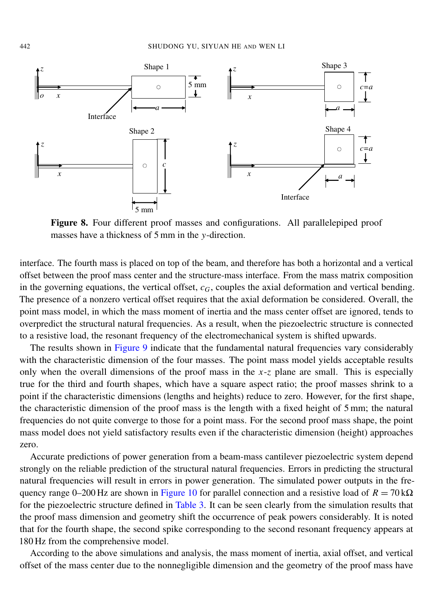<span id="page-16-0"></span>

) ) ) masses have a thickness of 5 mm in the *y*-direction. Figure 8. Four different proof masses and configurations. All parallelepiped proof

) ) ) interface. The fourth mass is placed on top of the beam, and therefore has both a horizontal and a vertical offset between the proof mass center and the structure-mass interface. From the mass matrix composition in the governing equations, the vertical offset, *cG*, couples the axial deformation and vertical bending. The presence of a nonzero vertical offset requires that the axial deformation be considered. Overall, the point mass model, in which the mass moment of inertia and the mass center offset are ignored, tends to overpredict the structural natural frequencies. As a result, when the piezoelectric structure is connected to a resistive load, the resonant frequency of the electromechanical system is shifted upwards.

The results shown in [Figure 9](#page-17-0) indicate that the fundamental natural frequencies vary considerably with the characteristic dimension of the four masses. The point mass model yields acceptable results only when the overall dimensions of the proof mass in the *x*-*z* plane are small. This is especially true for the third and fourth shapes, which have a square aspect ratio; the proof masses shrink to a point if the characteristic dimensions (lengths and heights) reduce to zero. However, for the first shape, the characteristic dimension of the proof mass is the length with a fixed height of 5 mm; the natural frequencies do not quite converge to those for a point mass. For the second proof mass shape, the point mass model does not yield satisfactory results even if the characteristic dimension (height) approaches zero.

Accurate predictions of power generation from a beam-mass cantilever piezoelectric system depend strongly on the reliable prediction of the structural natural frequencies. Errors in predicting the structural natural frequencies will result in errors in power generation. The simulated power outputs in the fre-quency range 0–200 Hz are shown in [Figure 10](#page-18-0) for parallel connection and a resistive load of  $R = 70 \text{ k}\Omega$ for the piezoelectric structure defined in [Table 3.](#page-15-0) It can be seen clearly from the simulation results that the proof mass dimension and geometry shift the occurrence of peak powers considerably. It is noted that for the fourth shape, the second spike corresponding to the second resonant frequency appears at 180 Hz from the comprehensive model.

According to the above simulations and analysis, the mass moment of inertia, axial offset, and vertical offset of the mass center due to the nonnegligible dimension and the geometry of the proof mass have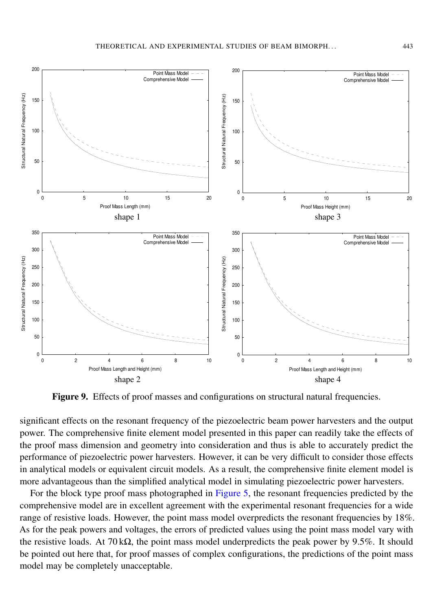<span id="page-17-0"></span>

Figure 9. Effects of proof masses and configurations on structural natural frequencies.

significant effects on the resonant frequency of the piezoelectric beam power harvesters and the output power. The comprehensive finite element model presented in this paper can readily take the effects of the proof mass dimension and geometry into consideration and thus is able to accurately predict the performance of piezoelectric power harvesters. However, it can be very difficult to consider those effects in analytical models or equivalent circuit models. As a result, the comprehensive finite element model is more advantageous than the simplified analytical model in simulating piezoelectric power harvesters.

be pointed out here that, for proof masses of complex configurations, the predictions of the point mass For the block type proof mass photographed in [Figure 5,](#page-13-0) the resonant frequencies predicted by the comprehensive model are in excellent agreement with the experimental resonant frequencies for a wide range of resistive loads. However, the point mass model overpredicts the resonant frequencies by 18%. As for the peak powers and voltages, the errors of predicted values using the point mass model vary with the resistive loads. At  $70 \text{ k}\Omega$ , the point mass model underpredicts the peak power by 9.5%. It should model may be completely unacceptable.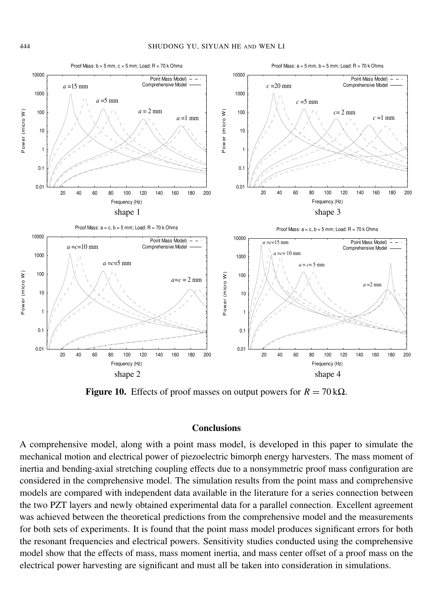<span id="page-18-0"></span>

**Figure 10.** Effects of proof masses on output powers for  $R = 70 \text{ k}\Omega$ .

### Conclusions

A comprehensive model, along with a point mass model, is developed in this paper to simulate the mechanical motion and electrical power of piezoelectric bimorph energy harvesters. The mass moment of inertia and bending-axial stretching coupling effects due to a nonsymmetric proof mass configuration are considered in the comprehensive model. The simulation results from the point mass and comprehensive models are compared with independent data available in the literature for a series connection between the two PZT layers and newly obtained experimental data for a parallel connection. Excellent agreement was achieved between the theoretical predictions from the comprehensive model and the measurements for both sets of experiments. It is found that the point mass model produces significant errors for both the resonant frequencies and electrical powers. Sensitivity studies conducted using the comprehensive model show that the effects of mass, mass moment inertia, and mass center offset of a proof mass on the electrical power harvesting are significant and must all be taken into consideration in simulations.